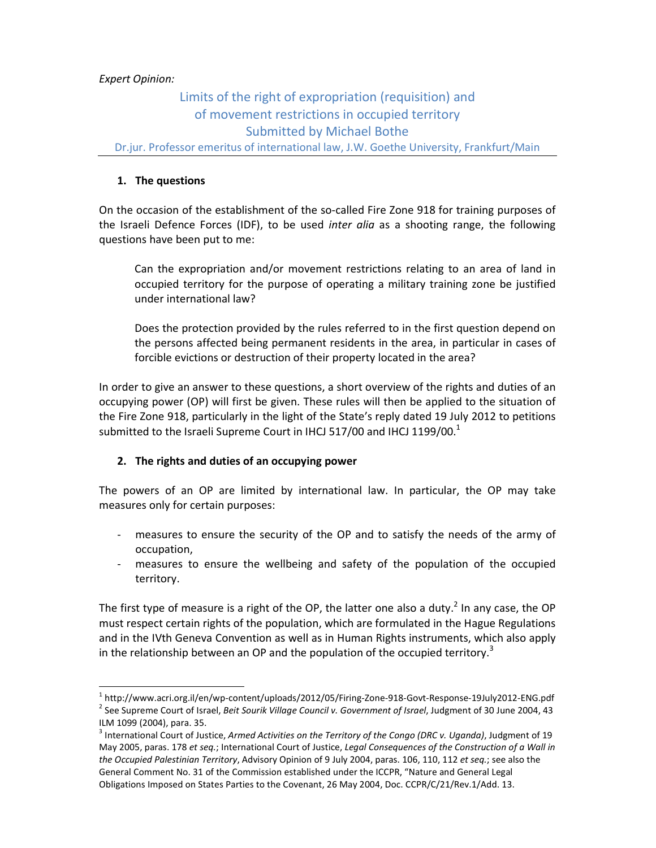# *Expert Opinion:*

l,

# Limits of the right of expropriation (requisition) and of movement restrictions in occupied territory Submitted by Michael Bothe

Dr.jur. Professor emeritus of international law, J.W. Goethe University, Frankfurt/Main

# **1. The questions**

On the occasion of the establishment of the so-called Fire Zone 918 for training purposes of the Israeli Defence Forces (IDF), to be used *inter alia* as a shooting range, the following questions have been put to me:

Can the expropriation and/or movement restrictions relating to an area of land in occupied territory for the purpose of operating a military training zone be justified under international law?

Does the protection provided by the rules referred to in the first question depend on the persons affected being permanent residents in the area, in particular in cases of forcible evictions or destruction of their property located in the area?

In order to give an answer to these questions, a short overview of the rights and duties of an occupying power (OP) will first be given. These rules will then be applied to the situation of the Fire Zone 918, particularly in the light of the State's reply dated 19 July 2012 to petitions submitted to the Israeli Supreme Court in IHCJ 517/00 and IHCJ 1199/00. $^1$ 

# **2. The rights and duties of an occupying power**

The powers of an OP are limited by international law. In particular, the OP may take measures only for certain purposes:

- measures to ensure the security of the OP and to satisfy the needs of the army of occupation,
- measures to ensure the wellbeing and safety of the population of the occupied territory.

The first type of measure is a right of the OP, the latter one also a duty.<sup>2</sup> In any case, the OP must respect certain rights of the population, which are formulated in the Hague Regulations and in the IVth Geneva Convention as well as in Human Rights instruments, which also apply in the relationship between an OP and the population of the occupied territory.<sup>3</sup>

<sup>&</sup>lt;sup>1</sup> http://www.acri.org.il/en/wp-content/uploads/2012/05/Firing-Zone-918-Govt-Response-19July2012-ENG.pdf 2 See Supreme Court of Israel, *Beit Sourik Village Council v. Government of Israel*, Judgment of 30 June 2004, 43 ILM 1099 (2004), para. 35.

<sup>3</sup> International Court of Justice, *Armed Activities on the Territory of the Congo (DRC v. Uganda)*, Judgment of 19 May 2005, paras. 178 *et seq.*; International Court of Justice, *Legal Consequences of the Construction of a Wall in the Occupied Palestinian Territory*, Advisory Opinion of 9 July 2004, paras. 106, 110, 112 *et seq.*; see also the General Comment No. 31 of the Commission established under the ICCPR, "Nature and General Legal Obligations Imposed on States Parties to the Covenant, 26 May 2004, Doc. CCPR/C/21/Rev.1/Add. 13.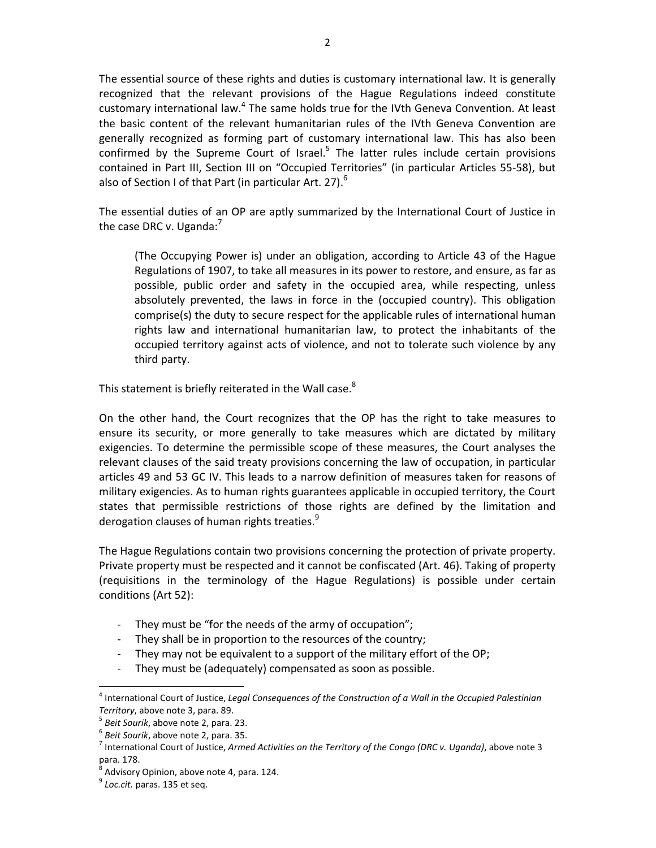The essential source of these rights and duties is customary international law. It is generally recognized that the relevant provisions of the Hague Regulations indeed constitute customary international law.<sup>4</sup> The same holds true for the IVth Geneva Convention. At least the basic content of the relevant humanitarian rules of the IVth Geneva Convention are generally recognized as forming part of customary international law. This has also been confirmed by the Supreme Court of Israel. $5$  The latter rules include certain provisions contained in Part III, Section III on "Occupied Territories" (in particular Articles 55-58), but also of Section I of that Part (in particular Art. 27).<sup>6</sup>

The essential duties of an OP are aptly summarized by the International Court of Justice in the case DRC v. Uganda: $<sup>7</sup>$ </sup>

 (The Occupying Power is) under an obligation, according to Article 43 of the Hague Regulations of 1907, to take all measures in its power to restore, and ensure, as far as possible, public order and safety in the occupied area, while respecting, unless absolutely prevented, the laws in force in the (occupied country). This obligation comprise(s) the duty to secure respect for the applicable rules of international human rights law and international humanitarian law, to protect the inhabitants of the occupied territory against acts of violence, and not to tolerate such violence by any third party.

This statement is briefly reiterated in the Wall case.<sup>8</sup>

On the other hand, the Court recognizes that the OP has the right to take measures to ensure its security, or more generally to take measures which are dictated by military exigencies. To determine the permissible scope of these measures, the Court analyses the relevant clauses of the said treaty provisions concerning the law of occupation, in particular articles 49 and 53 GC IV. This leads to a narrow definition of measures taken for reasons of military exigencies. As to human rights guarantees applicable in occupied territory, the Court states that permissible restrictions of those rights are defined by the limitation and derogation clauses of human rights treaties. $^{9}$ 

The Hague Regulations contain two provisions concerning the protection of private property. Private property must be respected and it cannot be confiscated (Art. 46). Taking of property (requisitions in the terminology of the Hague Regulations) is possible under certain conditions (Art 52):

- They must be "for the needs of the army of occupation";
- They shall be in proportion to the resources of the country;
- They may not be equivalent to a support of the military effort of the OP;
- They must be (adequately) compensated as soon as possible.

<sup>4</sup> International Court of Justice, *Legal Consequences of the Construction of a Wall in the Occupied Palestinian Territory*, above note 3, para. 89.

<sup>5</sup> *Beit Sourik*, above note 2, para. 23.

<sup>6</sup> *Beit Sourik*, above note 2, para. 35.

<sup>7</sup> International Court of Justice, *Armed Activities on the Territory of the Congo (DRC v. Uganda)*, above note 3 para. 178.

 $^8$  Advisory Opinion, above note 4, para. 124.

<sup>&</sup>lt;sup>9</sup> Loc.cit. paras. 135 et seq.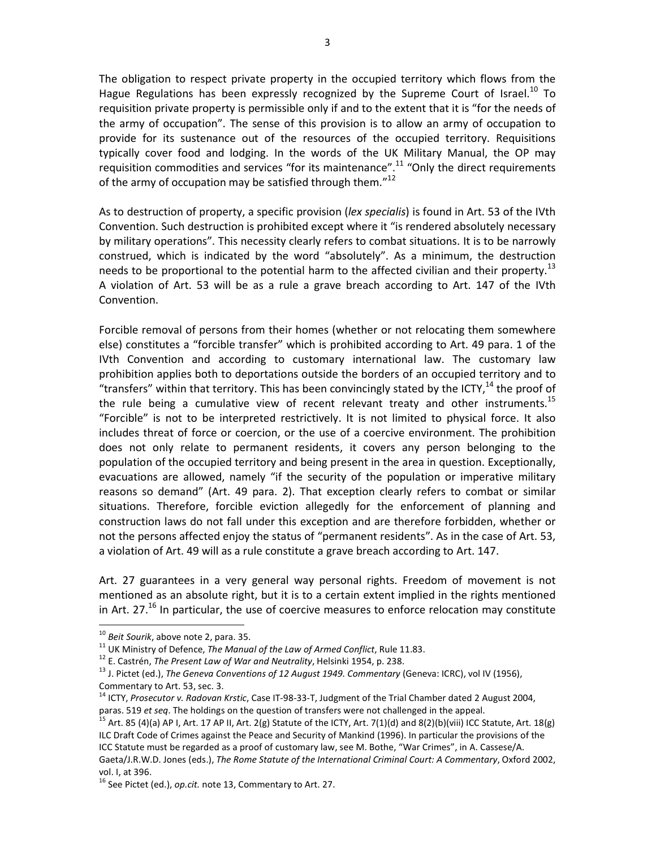The obligation to respect private property in the occupied territory which flows from the Hague Regulations has been expressly recognized by the Supreme Court of Israel.<sup>10</sup> To requisition private property is permissible only if and to the extent that it is "for the needs of the army of occupation". The sense of this provision is to allow an army of occupation to provide for its sustenance out of the resources of the occupied territory. Requisitions typically cover food and lodging. In the words of the UK Military Manual, the OP may requisition commodities and services "for its maintenance".<sup>11</sup> "Only the direct requirements of the army of occupation may be satisfied through them."<sup>12</sup>

As to destruction of property, a specific provision (*lex specialis*) is found in Art. 53 of the IVth Convention. Such destruction is prohibited except where it "is rendered absolutely necessary by military operations". This necessity clearly refers to combat situations. It is to be narrowly construed, which is indicated by the word "absolutely". As a minimum, the destruction needs to be proportional to the potential harm to the affected civilian and their property.<sup>13</sup> A violation of Art. 53 will be as a rule a grave breach according to Art. 147 of the IVth Convention.

Forcible removal of persons from their homes (whether or not relocating them somewhere else) constitutes a "forcible transfer" which is prohibited according to Art. 49 para. 1 of the IVth Convention and according to customary international law. The customary law prohibition applies both to deportations outside the borders of an occupied territory and to "transfers" within that territory. This has been convincingly stated by the ICTY,  $14$  the proof of the rule being a cumulative view of recent relevant treaty and other instruments.<sup>15</sup> "Forcible" is not to be interpreted restrictively. It is not limited to physical force. It also includes threat of force or coercion, or the use of a coercive environment. The prohibition does not only relate to permanent residents, it covers any person belonging to the population of the occupied territory and being present in the area in question. Exceptionally, evacuations are allowed, namely "if the security of the population or imperative military reasons so demand" (Art. 49 para. 2). That exception clearly refers to combat or similar situations. Therefore, forcible eviction allegedly for the enforcement of planning and construction laws do not fall under this exception and are therefore forbidden, whether or not the persons affected enjoy the status of "permanent residents". As in the case of Art. 53, a violation of Art. 49 will as a rule constitute a grave breach according to Art. 147.

Art. 27 guarantees in a very general way personal rights. Freedom of movement is not mentioned as an absolute right, but it is to a certain extent implied in the rights mentioned in Art.  $27<sup>16</sup>$  In particular, the use of coercive measures to enforce relocation may constitute

<sup>10</sup> *Beit Sourik*, above note 2, para. 35.

<sup>&</sup>lt;sup>11</sup> UK Ministry of Defence, *The Manual of the Law of Armed Conflict*, Rule 11.83.

<sup>12</sup> E. Castrén, *The Present Law of War and Neutrality*, Helsinki 1954, p. 238.

<sup>13</sup> J. Pictet (ed.), *The Geneva Conventions of 12 August 1949. Commentary* (Geneva: ICRC), vol IV (1956), Commentary to Art. 53, sec. 3.

<sup>14</sup> ICTY, *Prosecutor v. Radovan Krstic*, Case IT-98-33-T, Judgment of the Trial Chamber dated 2 August 2004, paras. 519 *et seq*. The holdings on the question of transfers were not challenged in the appeal.

 $15$  Art. 85 (4)(a) AP I, Art. 17 AP II, Art. 2(g) Statute of the ICTY, Art. 7(1)(d) and 8(2)(b)(viii) ICC Statute, Art. 18(g) ILC Draft Code of Crimes against the Peace and Security of Mankind (1996). In particular the provisions of the ICC Statute must be regarded as a proof of customary law, see M. Bothe, "War Crimes", in A. Cassese/A. Gaeta/J.R.W.D. Jones (eds.), *The Rome Statute of the International Criminal Court: A Commentary*, Oxford 2002, vol. I, at 396.

<sup>16</sup> See Pictet (ed.), *op.cit.* note 13, Commentary to Art. 27.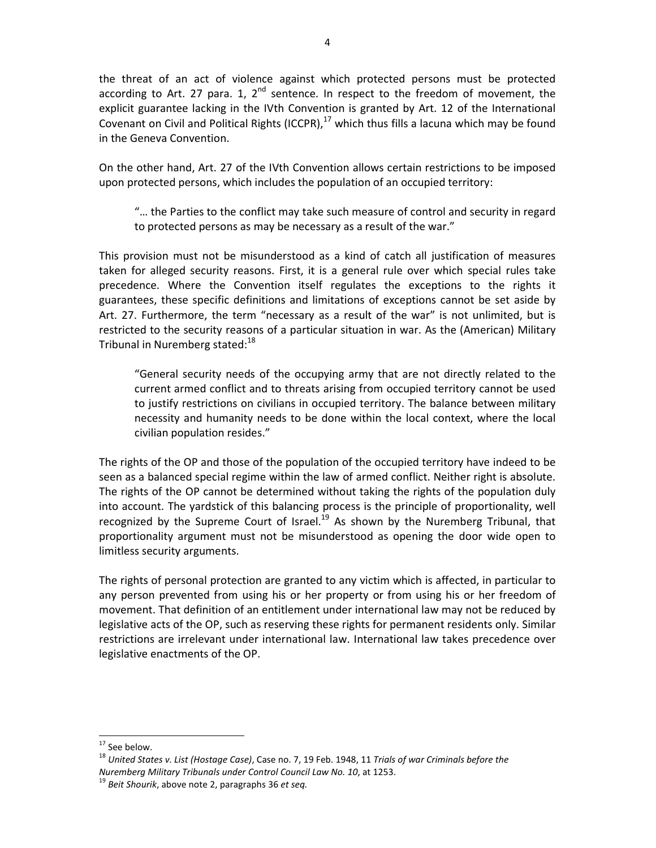the threat of an act of violence against which protected persons must be protected according to Art. 27 para. 1,  $2^{nd}$  sentence. In respect to the freedom of movement, the explicit guarantee lacking in the IVth Convention is granted by Art. 12 of the International Covenant on Civil and Political Rights (ICCPR), $^{17}$  which thus fills a lacuna which may be found in the Geneva Convention.

On the other hand, Art. 27 of the IVth Convention allows certain restrictions to be imposed upon protected persons, which includes the population of an occupied territory:

"… the Parties to the conflict may take such measure of control and security in regard to protected persons as may be necessary as a result of the war."

This provision must not be misunderstood as a kind of catch all justification of measures taken for alleged security reasons. First, it is a general rule over which special rules take precedence. Where the Convention itself regulates the exceptions to the rights it guarantees, these specific definitions and limitations of exceptions cannot be set aside by Art. 27. Furthermore, the term "necessary as a result of the war" is not unlimited, but is restricted to the security reasons of a particular situation in war. As the (American) Military Tribunal in Nuremberg stated: $18$ 

"General security needs of the occupying army that are not directly related to the current armed conflict and to threats arising from occupied territory cannot be used to justify restrictions on civilians in occupied territory. The balance between military necessity and humanity needs to be done within the local context, where the local civilian population resides."

The rights of the OP and those of the population of the occupied territory have indeed to be seen as a balanced special regime within the law of armed conflict. Neither right is absolute. The rights of the OP cannot be determined without taking the rights of the population duly into account. The yardstick of this balancing process is the principle of proportionality, well recognized by the Supreme Court of Israel.<sup>19</sup> As shown by the Nuremberg Tribunal, that proportionality argument must not be misunderstood as opening the door wide open to limitless security arguments.

The rights of personal protection are granted to any victim which is affected, in particular to any person prevented from using his or her property or from using his or her freedom of movement. That definition of an entitlement under international law may not be reduced by legislative acts of the OP, such as reserving these rights for permanent residents only. Similar restrictions are irrelevant under international law. International law takes precedence over legislative enactments of the OP.

 $17$  See below.

<sup>18</sup> *United States v. List (Hostage Case)*, Case no. 7, 19 Feb. 1948, 11 *Trials of war Criminals before the Nuremberg Military Tribunals under Control Council Law No. 10*, at 1253.

<sup>19</sup> *Beit Shourik*, above note 2, paragraphs 36 *et seq.*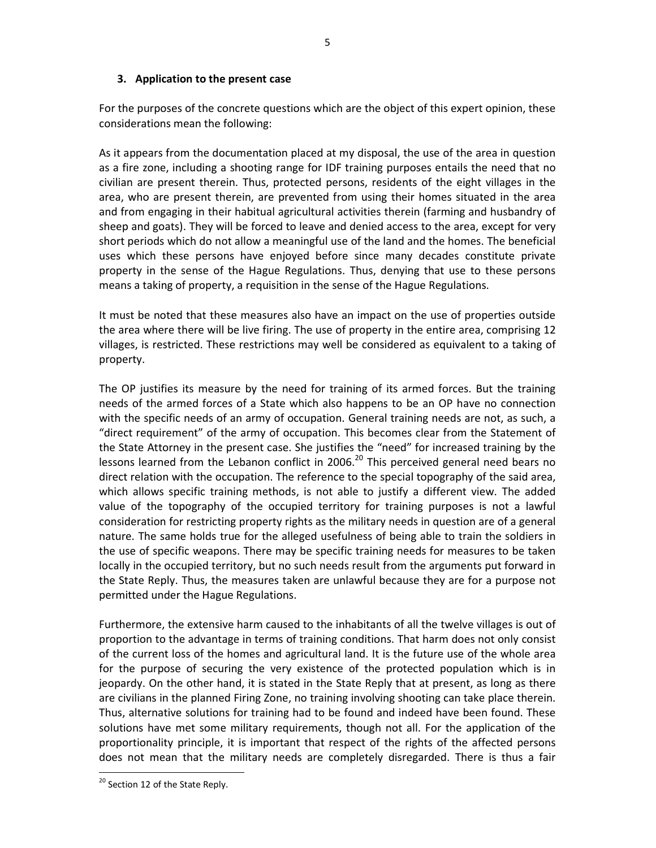### **3. Application to the present case**

For the purposes of the concrete questions which are the object of this expert opinion, these considerations mean the following:

As it appears from the documentation placed at my disposal, the use of the area in question as a fire zone, including a shooting range for IDF training purposes entails the need that no civilian are present therein. Thus, protected persons, residents of the eight villages in the area, who are present therein, are prevented from using their homes situated in the area and from engaging in their habitual agricultural activities therein (farming and husbandry of sheep and goats). They will be forced to leave and denied access to the area, except for very short periods which do not allow a meaningful use of the land and the homes. The beneficial uses which these persons have enjoyed before since many decades constitute private property in the sense of the Hague Regulations. Thus, denying that use to these persons means a taking of property, a requisition in the sense of the Hague Regulations.

It must be noted that these measures also have an impact on the use of properties outside the area where there will be live firing. The use of property in the entire area, comprising 12 villages, is restricted. These restrictions may well be considered as equivalent to a taking of property.

The OP justifies its measure by the need for training of its armed forces. But the training needs of the armed forces of a State which also happens to be an OP have no connection with the specific needs of an army of occupation. General training needs are not, as such, a "direct requirement" of the army of occupation. This becomes clear from the Statement of the State Attorney in the present case. She justifies the "need" for increased training by the lessons learned from the Lebanon conflict in 2006.<sup>20</sup> This perceived general need bears no direct relation with the occupation. The reference to the special topography of the said area, which allows specific training methods, is not able to justify a different view. The added value of the topography of the occupied territory for training purposes is not a lawful consideration for restricting property rights as the military needs in question are of a general nature. The same holds true for the alleged usefulness of being able to train the soldiers in the use of specific weapons. There may be specific training needs for measures to be taken locally in the occupied territory, but no such needs result from the arguments put forward in the State Reply. Thus, the measures taken are unlawful because they are for a purpose not permitted under the Hague Regulations.

Furthermore, the extensive harm caused to the inhabitants of all the twelve villages is out of proportion to the advantage in terms of training conditions. That harm does not only consist of the current loss of the homes and agricultural land. It is the future use of the whole area for the purpose of securing the very existence of the protected population which is in jeopardy. On the other hand, it is stated in the State Reply that at present, as long as there are civilians in the planned Firing Zone, no training involving shooting can take place therein. Thus, alternative solutions for training had to be found and indeed have been found. These solutions have met some military requirements, though not all. For the application of the proportionality principle, it is important that respect of the rights of the affected persons does not mean that the military needs are completely disregarded. There is thus a fair

<sup>&</sup>lt;sup>20</sup> Section 12 of the State Reply.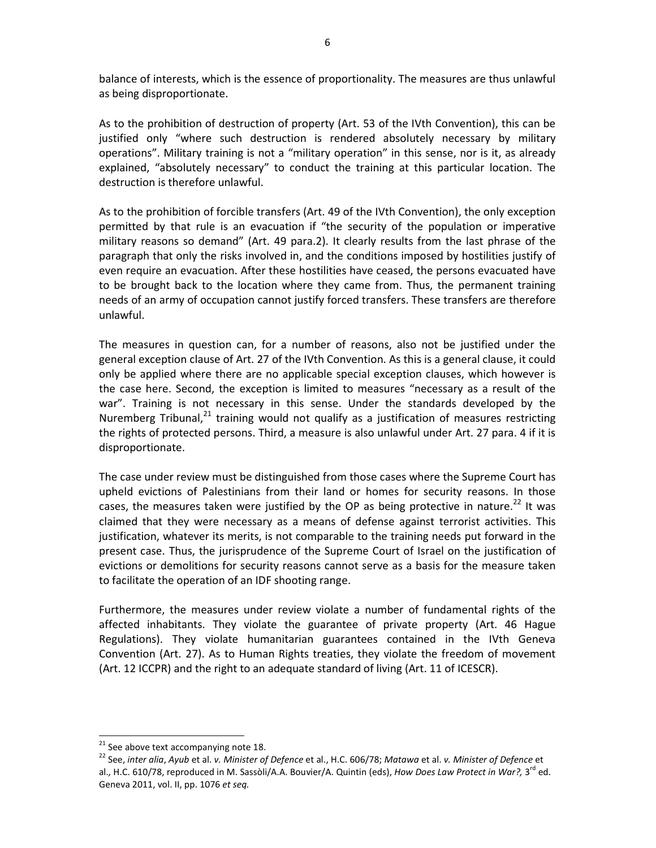balance of interests, which is the essence of proportionality. The measures are thus unlawful as being disproportionate.

As to the prohibition of destruction of property (Art. 53 of the IVth Convention), this can be justified only "where such destruction is rendered absolutely necessary by military operations". Military training is not a "military operation" in this sense, nor is it, as already explained, "absolutely necessary" to conduct the training at this particular location. The destruction is therefore unlawful.

As to the prohibition of forcible transfers (Art. 49 of the IVth Convention), the only exception permitted by that rule is an evacuation if "the security of the population or imperative military reasons so demand" (Art. 49 para.2). It clearly results from the last phrase of the paragraph that only the risks involved in, and the conditions imposed by hostilities justify of even require an evacuation. After these hostilities have ceased, the persons evacuated have to be brought back to the location where they came from. Thus, the permanent training needs of an army of occupation cannot justify forced transfers. These transfers are therefore unlawful.

The measures in question can, for a number of reasons, also not be justified under the general exception clause of Art. 27 of the IVth Convention. As this is a general clause, it could only be applied where there are no applicable special exception clauses, which however is the case here. Second, the exception is limited to measures "necessary as a result of the war". Training is not necessary in this sense. Under the standards developed by the Nuremberg Tribunal, $^{21}$  training would not qualify as a justification of measures restricting the rights of protected persons. Third, a measure is also unlawful under Art. 27 para. 4 if it is disproportionate.

The case under review must be distinguished from those cases where the Supreme Court has upheld evictions of Palestinians from their land or homes for security reasons. In those cases, the measures taken were justified by the OP as being protective in nature.<sup>22</sup> It was claimed that they were necessary as a means of defense against terrorist activities. This justification, whatever its merits, is not comparable to the training needs put forward in the present case. Thus, the jurisprudence of the Supreme Court of Israel on the justification of evictions or demolitions for security reasons cannot serve as a basis for the measure taken to facilitate the operation of an IDF shooting range.

Furthermore, the measures under review violate a number of fundamental rights of the affected inhabitants. They violate the guarantee of private property (Art. 46 Hague Regulations). They violate humanitarian guarantees contained in the IVth Geneva Convention (Art. 27). As to Human Rights treaties, they violate the freedom of movement (Art. 12 ICCPR) and the right to an adequate standard of living (Art. 11 of ICESCR).

 $21$  See above text accompanying note 18.

<sup>22</sup> See, *inter alia*, *Ayub* et al. *v. Minister of Defence* et al., H.C. 606/78; *Matawa* et al. *v. Minister of Defence* et al., H.C. 610/78, reproduced in M. Sassòli/A.A. Bouvier/A. Quintin (eds), *How Does Law Protect in War?*, 3<sup>rd</sup> ed. Geneva 2011, vol. II, pp. 1076 *et seq.*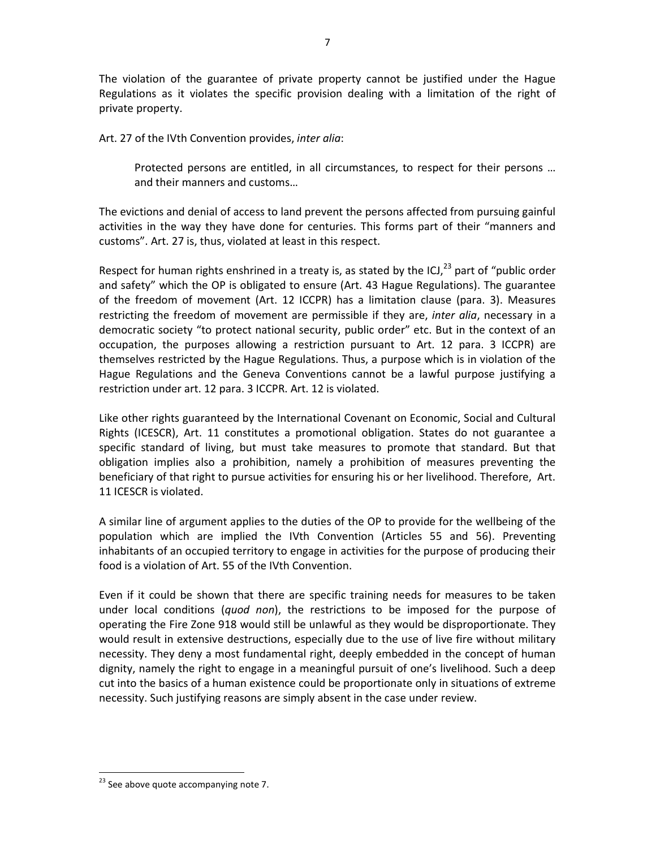The violation of the guarantee of private property cannot be justified under the Hague Regulations as it violates the specific provision dealing with a limitation of the right of private property.

Art. 27 of the IVth Convention provides, *inter alia*:

Protected persons are entitled, in all circumstances, to respect for their persons … and their manners and customs…

The evictions and denial of access to land prevent the persons affected from pursuing gainful activities in the way they have done for centuries. This forms part of their "manners and customs". Art. 27 is, thus, violated at least in this respect.

Respect for human rights enshrined in a treaty is, as stated by the ICJ, $^{23}$  part of "public order and safety" which the OP is obligated to ensure (Art. 43 Hague Regulations). The guarantee of the freedom of movement (Art. 12 ICCPR) has a limitation clause (para. 3). Measures restricting the freedom of movement are permissible if they are, *inter alia*, necessary in a democratic society "to protect national security, public order" etc. But in the context of an occupation, the purposes allowing a restriction pursuant to Art. 12 para. 3 ICCPR) are themselves restricted by the Hague Regulations. Thus, a purpose which is in violation of the Hague Regulations and the Geneva Conventions cannot be a lawful purpose justifying a restriction under art. 12 para. 3 ICCPR. Art. 12 is violated.

Like other rights guaranteed by the International Covenant on Economic, Social and Cultural Rights (ICESCR), Art. 11 constitutes a promotional obligation. States do not guarantee a specific standard of living, but must take measures to promote that standard. But that obligation implies also a prohibition, namely a prohibition of measures preventing the beneficiary of that right to pursue activities for ensuring his or her livelihood. Therefore, Art. 11 ICESCR is violated.

A similar line of argument applies to the duties of the OP to provide for the wellbeing of the population which are implied the IVth Convention (Articles 55 and 56). Preventing inhabitants of an occupied territory to engage in activities for the purpose of producing their food is a violation of Art. 55 of the IVth Convention.

Even if it could be shown that there are specific training needs for measures to be taken under local conditions (*quod non*), the restrictions to be imposed for the purpose of operating the Fire Zone 918 would still be unlawful as they would be disproportionate. They would result in extensive destructions, especially due to the use of live fire without military necessity. They deny a most fundamental right, deeply embedded in the concept of human dignity, namely the right to engage in a meaningful pursuit of one's livelihood. Such a deep cut into the basics of a human existence could be proportionate only in situations of extreme necessity. Such justifying reasons are simply absent in the case under review.

<sup>&</sup>lt;sup>23</sup> See above quote accompanying note 7.